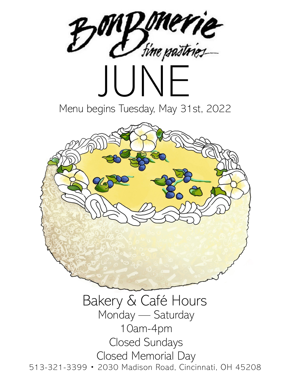

513-321-3399 • 2030 Madison Road, Cincinnati, OH 45208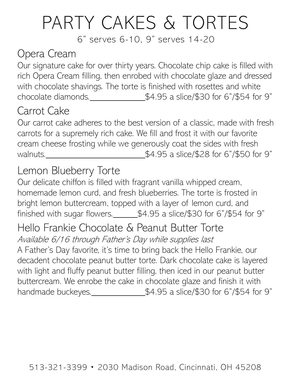# PARTY CAKES & TORTES

6" serves 6-10, 9" serves 14-20

### Opera Cream

Our signature cake for over thirty years. Chocolate chip cake is filled with rich Opera Cream filling, then enrobed with chocolate glaze and dressed with chocolate shavings. The torte is finished with rosettes and white chocolate diamonds.  $$4.95$  a slice/\$30 for 6"/\$54 for 9"

### Carrot Cake

Our carrot cake adheres to the best version of a classic, made with fresh carrots for a supremely rich cake. We fill and frost it with our favorite cream cheese frosting while we generously coat the sides with fresh walnuts. Moreover Malnuts. Malnuts. Malnuts. Malnuts. Malnuts. Malnuts. Malnuts. Malnuts. Malnuts. Malnuts.  $$4.95$  a slice/\$28 for 6"/\$50 for 9"

### Lemon Blueberry Torte

Our delicate chiffon is filled with fragrant vanilla whipped cream, homemade lemon curd, and fresh blueberries. The torte is frosted in bright lemon buttercream, topped with a layer of lemon curd, and finished with sugar flowers. $\_\_\_\$ \$4.95 a slice/\$30 for 6"/\$54 for 9"

#### Hello Frankie Chocolate & Peanut Butter Torte Available 6/16 through Father's Day while supplies last

A Father's Day favorite, it's time to bring back the Hello Frankie, our decadent chocolate peanut butter torte. Dark chocolate cake is layered with light and fluffy peanut butter filling, then iced in our peanut butter buttercream. We enrobe the cake in chocolate glaze and finish it with handmade buckeyes.<br> $\frac{1}{2}$   $\frac{1}{2}$   $\frac{1}{2}$   $\frac{1}{2}$   $\frac{1}{2}$   $\frac{1}{2}$   $\frac{1}{2}$   $\frac{1}{2}$   $\frac{1}{2}$   $\frac{1}{2}$   $\frac{1}{2}$   $\frac{1}{2}$   $\frac{1}{2}$   $\frac{1}{2}$   $\frac{1}{2}$   $\frac{1}{2}$   $\frac{1}{2}$   $\frac{1}{2}$   $\frac{1}{2}$   $\frac{1}{2}$   $\$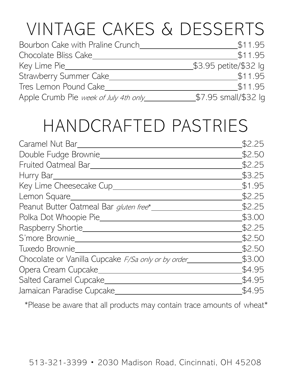# VINTAGE CAKES & DESSERTS

| Bourbon Cake with Praline Crunch      | \$11.95               |
|---------------------------------------|-----------------------|
| Chocolate Bliss Cake                  | \$11.95               |
| Key Lime Pie_                         | \$3.95 petite/\$32 lg |
| Strawberry Summer Cake                | \$11.95               |
| Tres Lemon Pound Cake                 | \$11.95               |
| Apple Crumb Pie week of July 4th only | \$7.95 small/\$32 lg  |

## HANDCRAFTED PASTRIES

| Caramel Nut Bar<br>\$2.50<br>Double Fudge Brownie<br>\$2.25<br>Fruited Oatmeal Bar<br>\$3.25<br>Hurry Bar___<br>\$1.95<br>Key Lime Cheesecake Cup_<br>\$2.25<br>Lemon Square<br>\$2.25<br>Peanut Butter Oatmeal Bar gluten free*<br>\$3.00<br>Polka Dot Whoopie Pie____<br>Raspberry Shortie______<br>\$2.25 |
|--------------------------------------------------------------------------------------------------------------------------------------------------------------------------------------------------------------------------------------------------------------------------------------------------------------|
|                                                                                                                                                                                                                                                                                                              |
|                                                                                                                                                                                                                                                                                                              |
|                                                                                                                                                                                                                                                                                                              |
|                                                                                                                                                                                                                                                                                                              |
|                                                                                                                                                                                                                                                                                                              |
|                                                                                                                                                                                                                                                                                                              |
|                                                                                                                                                                                                                                                                                                              |
|                                                                                                                                                                                                                                                                                                              |
| \$2.50<br>S'more Brownie                                                                                                                                                                                                                                                                                     |
| \$2.50<br>Tuxedo Brownie                                                                                                                                                                                                                                                                                     |
| \$3.00<br>Chocolate or Vanilla Cupcake <i>F/Sa only or by order</i>                                                                                                                                                                                                                                          |
| \$4.95<br>Opera Cream Cupcake_                                                                                                                                                                                                                                                                               |
| \$4.95<br>Salted Caramel Cupcake                                                                                                                                                                                                                                                                             |
| \$4.95<br>Jamaican Paradise Cupcake                                                                                                                                                                                                                                                                          |

\*Please be aware that all products may contain trace amounts of wheat\*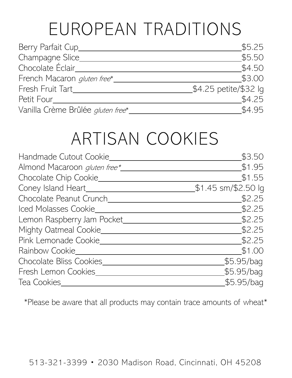## EUROPEAN TRADITIONS

| Berry Parfait Cup_                | \$5.25                |
|-----------------------------------|-----------------------|
| Champagne Slice_                  | \$5.50                |
| Chocolate Éclair_                 | \$4.50                |
| French Macaron gluten free*_      | \$3.00                |
| Fresh Fruit Tart                  | \$4.25 petite/\$32 lg |
| Petit Four                        | \$4.25                |
| Vanilla Crème Brûlée gluten free* | \$4.95                |

### ARTISAN COOKIES

| Handmade Cutout Cookie              | \$3.50              |
|-------------------------------------|---------------------|
| Almond Macaroon <i>gluten free*</i> | \$1.95              |
| Chocolate Chip Cookie_              | \$1.55              |
| Coney Island Heart_                 | \$1.45 sm/\$2.50 lg |
| Chocolate Peanut Crunch             | \$2.25              |
| Iced Molasses Cookie                | \$2.25              |
| Lemon Raspberry Jam Pocket_         | \$2.25              |
| Mighty Oatmeal Cookie_              | \$2.25              |
| Pink Lemonade Cookie_               | \$2.25              |
| Rainbow Cookie                      | \$1.00              |
| Chocolate Bliss Cookies             | \$5.95/bag          |
| Fresh Lemon Cookies                 | \$5.95/bag          |
| Tea Cookies                         | \$5.95/bag          |

\*Please be aware that all products may contain trace amounts of wheat\*